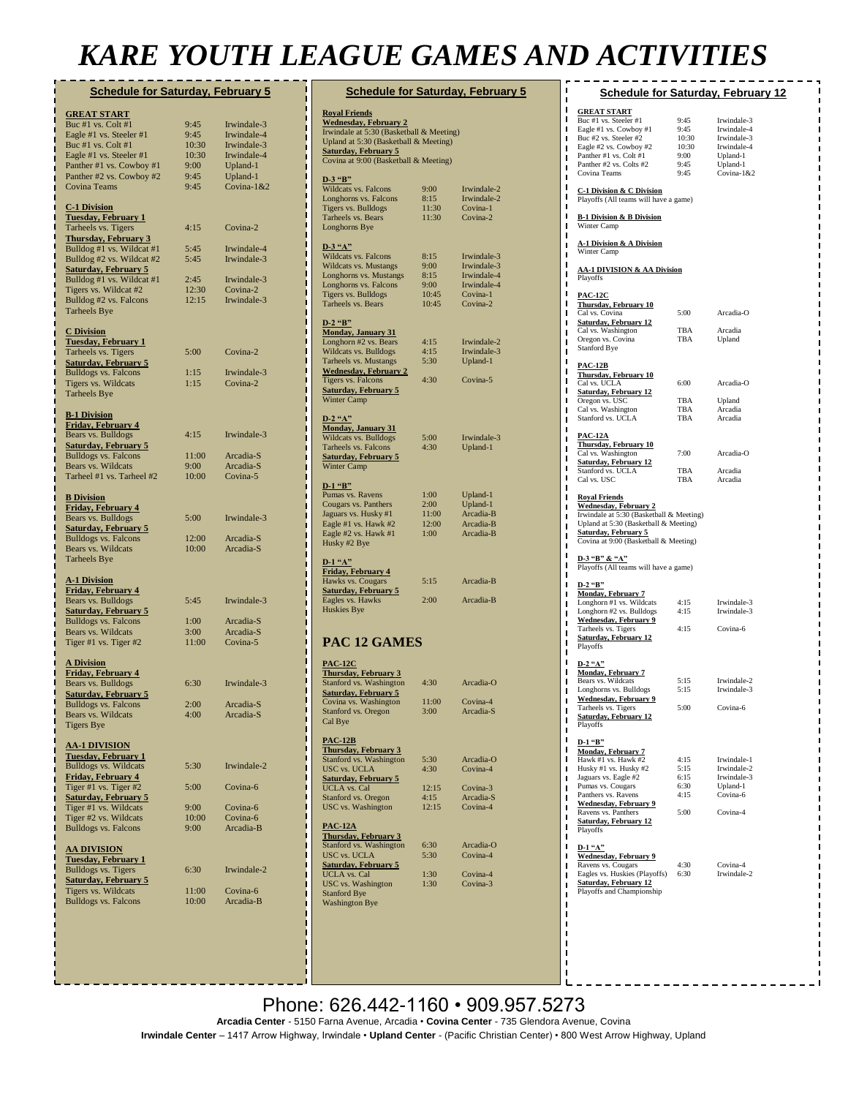# *KARE YOUTH LEAGUE GAMES AND ACTIVITIES*

| <b>Schedule for Saturday, February 5</b>               |              |                            |  |
|--------------------------------------------------------|--------------|----------------------------|--|
| <u>GREAT START</u>                                     |              |                            |  |
| Buc #1 vs. Colt #1                                     | 9:45         | Irwindale-3                |  |
| Eagle #1 vs. Steeler #1                                | 9:45         | Irwindale-4                |  |
| Buc #1 vs. Colt #1                                     | 10:30        | Irwindale-3                |  |
| Eagle #1 vs. Steeler #1                                | 10:30        | Irwindale-4                |  |
| Panther #1 vs. Cowboy #1                               | 9:00         | Upland-1                   |  |
| Panther #2 vs. Cowboy #2                               | 9:45         | Upland-1                   |  |
| <b>Covina Teams</b>                                    | 9:45         | Covina-1&2                 |  |
|                                                        |              |                            |  |
| <b>C-1 Division</b>                                    |              |                            |  |
| <u>Tuesday, February 1</u>                             |              |                            |  |
| Tarheels vs. Tigers                                    | 4:15         | Covina-2                   |  |
| <b>Thursday, February 3</b>                            |              |                            |  |
| Bulldog #1 vs. Wildcat #1<br>Bulldog #2 vs. Wildcat #2 | 5:45<br>5:45 | Irwindale-4<br>Irwindale-3 |  |
|                                                        |              |                            |  |
| Saturday, February 5<br>Bulldog #1 vs. Wildcat #1      | 2:45         | Irwindale-3                |  |
| Tigers vs. Wildcat #2                                  | 12:30        | Covina-2                   |  |
| Bulldog #2 vs. Falcons                                 | 12:15        | Irwindale-3                |  |
| <b>Tarheels Bye</b>                                    |              |                            |  |
|                                                        |              |                            |  |
| <b>C</b> Division                                      |              |                            |  |
| <u>Tuesday, February 1</u>                             |              |                            |  |
| Tarheels vs. Tigers                                    | 5:00         | Covina-2                   |  |
| <u>Saturday, February 5</u>                            |              |                            |  |
| <b>Bulldogs vs. Falcons</b>                            | 1:15         | Irwindale-3                |  |
| Tigers vs. Wildcats                                    | 1:15         | Covina-2                   |  |
| Tarheels Bye                                           |              |                            |  |
| <b>B-1 Division</b>                                    |              |                            |  |
| Friday, February 4                                     |              |                            |  |
| Bears vs. Bulldogs                                     | 4:15         | Irwindale-3                |  |
| <b>Saturday, February 5</b>                            |              |                            |  |
| <b>Bulldogs vs. Falcons</b>                            | 11:00        | Arcadia-S                  |  |
| Bears vs. Wildcats                                     | 9:00         | Arcadia-S                  |  |
| Tarheel #1 vs. Tarheel #2                              | 10:00        | Covina-5                   |  |
|                                                        |              |                            |  |
| <b>B</b> Division                                      |              |                            |  |
| Friday, February 4                                     |              |                            |  |
| Bears vs. Bulldogs                                     | 5:00         | Irwindale-3                |  |
| <b>Saturday, February 5</b>                            |              |                            |  |
| <b>Bulldogs vs. Falcons</b>                            | 12:00        | Arcadia-S                  |  |
| Bears vs. Wildcats                                     | 10:00        | Arcadia-S                  |  |
| <b>Tarheels Bye</b>                                    |              |                            |  |
|                                                        |              |                            |  |
| <b>A-1 Division</b><br><u>Friday, February 4</u>       |              |                            |  |
| Bears vs. Bulldogs                                     | 5:45         | Irwindale-3                |  |
| <b>Saturday, February 5</b>                            |              |                            |  |
| <b>Bulldogs vs. Falcons</b>                            | 1:00         | Arcadia-S                  |  |
| Bears vs. Wildcats                                     | 3:00         | Arcadia-S                  |  |
| Tiger #1 vs. Tiger #2                                  | 11:00        | Covina-5                   |  |
|                                                        |              |                            |  |
| <b>A Division</b>                                      |              |                            |  |
| Friday, February 4                                     |              |                            |  |
| Bears vs. Bulldogs                                     | 6:30         | Irwindale-3                |  |
| <b>Saturday, February 5</b>                            | 2:00         |                            |  |
| <b>Bulldogs vs. Falcons</b>                            |              | Arcadia-S                  |  |
| Bears vs. Wildcats                                     | 4:00         | Arcadia-S                  |  |
| Tigers Bye                                             |              |                            |  |
| <b>AA-1 DIVISION</b>                                   |              |                            |  |
| Tuesday, February 1                                    |              |                            |  |
| <b>Bulldogs vs. Wildcats</b>                           | 5:30         | Irwindale-2                |  |
| Friday, February 4                                     |              |                            |  |
| Tiger #1 vs. Tiger #2                                  | 5:00         | Covina-6                   |  |
| <b>Saturday, February 5</b>                            | 9:00         | Covina-6                   |  |
| Tiger #1 vs. Wildcats<br>Tiger #2 vs. Wildcats         | 10:00        | Covina-6                   |  |
| <b>Bulldogs vs. Falcons</b>                            | 9:00         | Arcadia-B                  |  |
|                                                        |              |                            |  |
| <u>AA DIVISION</u>                                     |              |                            |  |
| Tuesday, February 1                                    |              |                            |  |
| <b>Bulldogs vs. Tigers</b>                             | 6:30         | Irwindale-2                |  |
| <b>Saturday, February 5</b>                            |              |                            |  |
| Tigers vs. Wildcats                                    | 11:00        | Covina-6                   |  |
| <b>Bulldogs vs. Falcons</b>                            | 10:00        | Arcadia-B                  |  |
|                                                        |              |                            |  |
|                                                        |              |                            |  |

| <b>Schedule for Saturday, February 5</b>                                                                                                                                                                              |                                                |                                                                                  |  |  |
|-----------------------------------------------------------------------------------------------------------------------------------------------------------------------------------------------------------------------|------------------------------------------------|----------------------------------------------------------------------------------|--|--|
| <b>Royal Friends</b><br><b>Wednesday, February 2</b><br>Irwindale at 5:30 (Basketball & Meeting)<br>Upland at 5:30 (Basketball & Meeting)<br><b>Saturday, February 5</b><br>Covina at 9:00 (Basketball & Meeting)     |                                                |                                                                                  |  |  |
| $D-3$ "B"<br>Wildcats vs. Falcons<br>Longhorns vs. Falcons<br>Tigers vs. Bulldogs<br>Tarheels vs. Bears<br>Longhorns Bye                                                                                              | 9:00<br>8:15<br>11:30<br>11:30                 | Irwindale-2<br>Irwindale-2<br>Covina-1<br>Covina-2                               |  |  |
| $D-3$ "A"<br>Wildcats vs. Falcons<br>Wildcats vs. Mustangs<br>Longhorns vs. Mustangs<br>Longhorns vs. Falcons<br>Tigers vs. Bulldogs<br>Tarheels vs. Bears                                                            | 8:15<br>9:00<br>8:15<br>9:00<br>10:45<br>10:45 | Irwindale-3<br>Irwindale-3<br>Irwindale-4<br>Irwindale-4<br>Covina-1<br>Covina-2 |  |  |
| $D-2$ "B"<br><b>Monday, January 31</b><br>Longhorn #2 vs. Bears<br>Wildcats vs. Bulldogs<br>Tarheels vs. Mustangs<br><b>Wednesday, February 2</b><br>Tigers vs. Falcons<br><b>Saturday, February 5</b><br>Winter Camp | 4:15<br>4:15<br>5:30<br>4:30                   | Irwindale-2<br>Irwindale-3<br>Upland-1<br>Covina-5                               |  |  |
| $D-2$ "A"<br><b>Monday, January 31</b><br>Wildcats vs. Bulldogs<br>Tarheels vs. Falcons<br><u>Saturday, February 5</u><br>Winter Camp                                                                                 | 5:00<br>4:30                                   | Irwindale-3<br>Upland-1                                                          |  |  |
| $D-1$ "B"<br>Pumas vs. Ravens<br>Cougars vs. Panthers<br>Jaguars vs. Husky #1<br>Eagle #1 vs. Hawk #2<br>Eagle #2 vs. Hawk #1<br>Husky #2 Bye                                                                         | 1:00<br>2:00<br>11:00<br>12:00<br>1:00         | Upland-1<br>Upland-1<br>Arcadia-B<br>Arcadia-B<br>Arcadia-B                      |  |  |
| $D-1$ "A"<br><b>Friday, February 4</b><br>Hawks vs. Cougars<br><b>Saturday, February 5</b><br>Eagles vs. Hawks<br>Huskies Bye                                                                                         | 5:15<br>2:00                                   | Arcadia-B<br>Arcadia-B                                                           |  |  |
| PAC 12 GAMES                                                                                                                                                                                                          |                                                |                                                                                  |  |  |
| <b>PAC-12C</b><br><u>Thursday, February 3</u><br>Stanford vs. Washington<br><b>Saturday, February 5</b><br>Covina vs. Washington<br>Stanford vs. Oregon<br>Cal Bye                                                    | 4:30<br>11:00<br>3:00                          | Arcadia-O<br>Covina-4<br>Arcadia-S                                               |  |  |
| <b>PAC-12B</b><br><b>Thursday, February 3</b><br>Stanford vs. Washington<br>USC vs. UCLA<br>Saturday, February 5<br>UCLA vs. Cal<br>Stanford vs. Oregon<br>USC vs. Washington                                         | 5:30<br>4:30<br>12:15<br>4:15<br>12:15         | Arcadia-O<br>Covina-4<br>Covina-3<br>Arcadia-S<br>Covina-4                       |  |  |
| <u>PAC-12A</u><br><b>Thursday, February 3</b><br>Stanford vs. Washington<br>USC vs. UCLA<br><b>Saturday, February 5</b><br><b>UCLA</b> vs. Cal<br>USC vs. Washington<br><b>Stanford Bye</b><br><b>Washington Bye</b>  | 6:30<br>5:30<br>1:30<br>1:30                   | Arcadia-O<br>Covina-4<br>Covina-4<br>Covina-3                                    |  |  |

| <b>Schedule for Saturday, February 12</b>                                                                                                                                                                         |                                        |                            |  |  |  |
|-------------------------------------------------------------------------------------------------------------------------------------------------------------------------------------------------------------------|----------------------------------------|----------------------------|--|--|--|
| <b>GREAT START</b><br>Buc #1 vs. Steeler #1                                                                                                                                                                       | 9:45                                   | Irwindale-3                |  |  |  |
| Eagle #1 vs. Cowboy #1                                                                                                                                                                                            | 9:45                                   | Irwindale-4                |  |  |  |
| Buc #2 vs. Steeler #2<br>Eagle #2 vs. Cowboy #2                                                                                                                                                                   | 10:30<br>10:30                         | Irwindale-3<br>Irwindale-4 |  |  |  |
| Panther #1 vs. Colt #1                                                                                                                                                                                            | 9:00                                   | Upland-1                   |  |  |  |
| Panther #2 vs. Colts #2<br>Covina Teams                                                                                                                                                                           | 9:45<br>9:45                           | Upland-1<br>Covina-1&2     |  |  |  |
| <b>C-1 Division &amp; C Division</b><br>Playoffs (All teams will have a game)                                                                                                                                     |                                        |                            |  |  |  |
| <b>B-1 Division &amp; B Division</b><br>Winter Camp                                                                                                                                                               |                                        |                            |  |  |  |
| A-1 Division & A Division<br>Winter Camp                                                                                                                                                                          |                                        |                            |  |  |  |
| Playoffs                                                                                                                                                                                                          | <b>AA-1 DIVISION &amp; AA Division</b> |                            |  |  |  |
| <b>PAC-12C</b>                                                                                                                                                                                                    |                                        |                            |  |  |  |
| <b>Thursday, February 10</b><br>Cal vs. Covina                                                                                                                                                                    | 5:00                                   | Arcadia-O                  |  |  |  |
| <b>Saturday, February 12</b>                                                                                                                                                                                      |                                        |                            |  |  |  |
| Cal vs. Washington<br>Oregon vs. Covina                                                                                                                                                                           | TBA<br>TBA                             | Arcadia<br>Upland          |  |  |  |
| Stanford Bye                                                                                                                                                                                                      |                                        |                            |  |  |  |
| <u>PAC-12B</u>                                                                                                                                                                                                    |                                        |                            |  |  |  |
| Thursday, February 10<br>Cal vs. UCLA                                                                                                                                                                             | 6:00                                   | Arcadia-O                  |  |  |  |
| <b>Saturday, February 12</b>                                                                                                                                                                                      |                                        |                            |  |  |  |
| Oregon vs. USC<br>Cal vs. Washington                                                                                                                                                                              | TBA<br>TBA                             | Upland<br>Arcadia          |  |  |  |
| Stanford vs. UCLA                                                                                                                                                                                                 | TBA                                    | Arcadia                    |  |  |  |
| <b>PAC-12A</b>                                                                                                                                                                                                    |                                        |                            |  |  |  |
| <b>Thursday, February 10</b><br>Cal vs. Washington                                                                                                                                                                | 7:00                                   | Arcadia-O                  |  |  |  |
| <b>Saturday, February 12</b>                                                                                                                                                                                      |                                        |                            |  |  |  |
| Stanford vs. UCLA<br>Cal vs. USC                                                                                                                                                                                  | TBA<br>TBA                             | Arcadia<br>Arcadia         |  |  |  |
| <b>Royal Friends</b><br><b>Wednesday, February 2</b><br>Irwindale at 5:30 (Basketball & Meeting)<br>Upland at 5:30 (Basketball & Meeting)<br><b>Saturday, February 5</b><br>Covina at 9:00 (Basketball & Meeting) |                                        |                            |  |  |  |
| D-3 "B" & "A"<br>Playoffs (All teams will have a game)                                                                                                                                                            |                                        |                            |  |  |  |
| D-2 "B"<br><b>Monday, February 7</b>                                                                                                                                                                              |                                        |                            |  |  |  |
| Longhorn #1 vs. Wildcats                                                                                                                                                                                          | 4:15                                   | Irwindale-3                |  |  |  |
| Longhorn #2 vs. Bulldogs<br>Wednesday, February 9                                                                                                                                                                 | 4:15                                   | Irwindale-3                |  |  |  |
| Tarheels vs. Tigers<br><b>Saturday, February 12</b>                                                                                                                                                               | 4:15                                   | Covina-6                   |  |  |  |
| Playoffs                                                                                                                                                                                                          |                                        |                            |  |  |  |
| $D-2$ "A"                                                                                                                                                                                                         |                                        |                            |  |  |  |
| <b>Monday, February 7</b><br>Bears vs. Wildcats                                                                                                                                                                   | 5:15                                   | Irwindale-2                |  |  |  |
| Longhorns vs. Bulldogs                                                                                                                                                                                            | 5:15                                   | Irwindale-3                |  |  |  |
| <b>Wednesday, February 9</b><br>Tarheels vs. Tigers                                                                                                                                                               | 5:00                                   | Covina-6                   |  |  |  |
| <b>Saturday, February 12</b>                                                                                                                                                                                      |                                        |                            |  |  |  |
| Playoffs                                                                                                                                                                                                          |                                        |                            |  |  |  |
| D-1 "B"<br>Monday, February 7                                                                                                                                                                                     |                                        |                            |  |  |  |
| Hawk #1 vs. Hawk #2                                                                                                                                                                                               | 4:15<br>5:15                           | Irwindale-1<br>Irwindale-2 |  |  |  |
| Husky #1 vs. Husky #2<br>Jaguars vs. Eagle #2                                                                                                                                                                     | 6:15                                   | Irwindale-3                |  |  |  |
| Pumas vs. Cougars<br>Panthers vs. Ravens                                                                                                                                                                          | 6:30<br>4:15                           | Upland-1<br>Covina-6       |  |  |  |
| <b>Wednesday, February 9</b>                                                                                                                                                                                      |                                        |                            |  |  |  |
| Ravens vs. Panthers<br><b>Saturday, February 12</b><br>Playoffs                                                                                                                                                   | 5:00                                   | Covina-4                   |  |  |  |
| D-1 "A"                                                                                                                                                                                                           |                                        |                            |  |  |  |
| <b>Wednesday, February 9</b><br>Ravens vs. Cougars                                                                                                                                                                | 4:30                                   | Covina-4                   |  |  |  |
| Eagles vs. Huskies (Playoffs)                                                                                                                                                                                     | 6:30                                   | Irwindale-2                |  |  |  |
| <b>Saturday, February 12</b><br>Playoffs and Championship                                                                                                                                                         |                                        |                            |  |  |  |
|                                                                                                                                                                                                                   |                                        |                            |  |  |  |
|                                                                                                                                                                                                                   |                                        |                            |  |  |  |
|                                                                                                                                                                                                                   |                                        |                            |  |  |  |

#### Phone: 626.442-1160 • 909.957.5273 **Arcadia Center** - 5150 Farna Avenue, Arcadia • **Covina Center** - 735 Glendora Avenue, Covina **Irwindale Center** – 1417 Arrow Highway, Irwindale • **Upland Center** - (Pacific Christian Center) • 800 West Arrow Highway, Upland